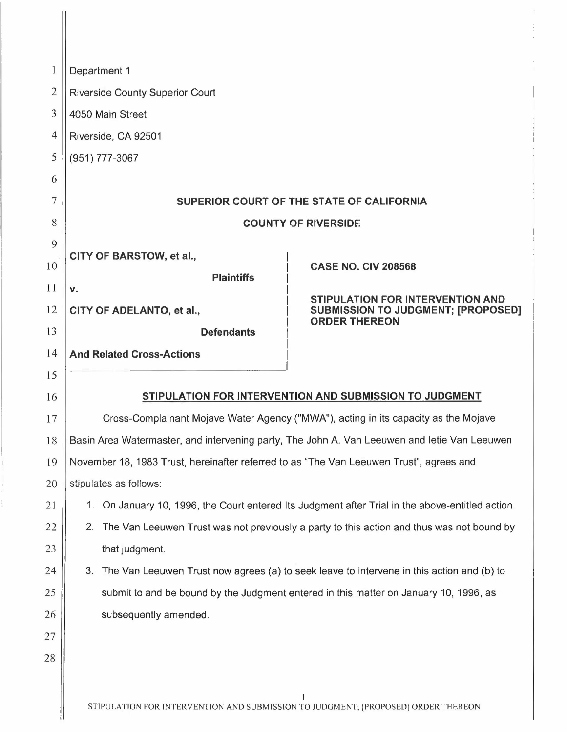| $\mathbf{1}$   |                                                                                                  | Department 1                                                                                 |                                                         |  |  |  |  |  |  |  |
|----------------|--------------------------------------------------------------------------------------------------|----------------------------------------------------------------------------------------------|---------------------------------------------------------|--|--|--|--|--|--|--|
| $\overline{2}$ |                                                                                                  | <b>Riverside County Superior Court</b>                                                       |                                                         |  |  |  |  |  |  |  |
| 3              | 4050 Main Street                                                                                 |                                                                                              |                                                         |  |  |  |  |  |  |  |
| $\overline{4}$ | Riverside, CA 92501                                                                              |                                                                                              |                                                         |  |  |  |  |  |  |  |
| 5              |                                                                                                  | (951) 777-3067                                                                               |                                                         |  |  |  |  |  |  |  |
| 6              |                                                                                                  |                                                                                              |                                                         |  |  |  |  |  |  |  |
| 7              |                                                                                                  | SUPERIOR COURT OF THE STATE OF CALIFORNIA                                                    |                                                         |  |  |  |  |  |  |  |
| 8              | <b>COUNTY OF RIVERSIDE</b>                                                                       |                                                                                              |                                                         |  |  |  |  |  |  |  |
| 9              |                                                                                                  | CITY OF BARSTOW, et al.,                                                                     |                                                         |  |  |  |  |  |  |  |
| 10             |                                                                                                  | <b>Plaintiffs</b>                                                                            | <b>CASE NO. CIV 208568</b>                              |  |  |  |  |  |  |  |
| 11             | v.                                                                                               |                                                                                              | STIPULATION FOR INTERVENTION AND                        |  |  |  |  |  |  |  |
| 12             | CITY OF ADELANTO, et al.,<br><b>SUBMISSION TO JUDGMENT; [PROPOSED]</b>                           |                                                                                              |                                                         |  |  |  |  |  |  |  |
| 13             |                                                                                                  | <b>ORDER THEREON</b><br><b>Defendants</b>                                                    |                                                         |  |  |  |  |  |  |  |
| 14             |                                                                                                  | <b>And Related Cross-Actions</b>                                                             |                                                         |  |  |  |  |  |  |  |
| 15             |                                                                                                  |                                                                                              |                                                         |  |  |  |  |  |  |  |
| 16             |                                                                                                  |                                                                                              | STIPULATION FOR INTERVENTION AND SUBMISSION TO JUDGMENT |  |  |  |  |  |  |  |
| 17             | Cross-Complainant Mojave Water Agency ("MWA"), acting in its capacity as the Mojave              |                                                                                              |                                                         |  |  |  |  |  |  |  |
| 18             |                                                                                                  | Basin Area Watermaster, and intervening party, The John A. Van Leeuwen and letie Van Leeuwen |                                                         |  |  |  |  |  |  |  |
| 19             | November 18, 1983 Trust, hereinafter referred to as "The Van Leeuwen Trust", agrees and          |                                                                                              |                                                         |  |  |  |  |  |  |  |
| 20             |                                                                                                  | stipulates as follows:                                                                       |                                                         |  |  |  |  |  |  |  |
| 21             | 1. On January 10, 1996, the Court entered Its Judgment after Trial in the above-entitled action. |                                                                                              |                                                         |  |  |  |  |  |  |  |
| 22             | The Van Leeuwen Trust was not previously a party to this action and thus was not bound by<br>2.  |                                                                                              |                                                         |  |  |  |  |  |  |  |
| 23             | that judgment.                                                                                   |                                                                                              |                                                         |  |  |  |  |  |  |  |
| 24             | 3.                                                                                               | The Van Leeuwen Trust now agrees (a) to seek leave to intervene in this action and (b) to    |                                                         |  |  |  |  |  |  |  |
| 25             |                                                                                                  | submit to and be bound by the Judgment entered in this matter on January 10, 1996, as        |                                                         |  |  |  |  |  |  |  |
| 26             |                                                                                                  | subsequently amended.                                                                        |                                                         |  |  |  |  |  |  |  |
| 27             |                                                                                                  |                                                                                              |                                                         |  |  |  |  |  |  |  |
| 28             |                                                                                                  |                                                                                              |                                                         |  |  |  |  |  |  |  |
|                |                                                                                                  |                                                                                              |                                                         |  |  |  |  |  |  |  |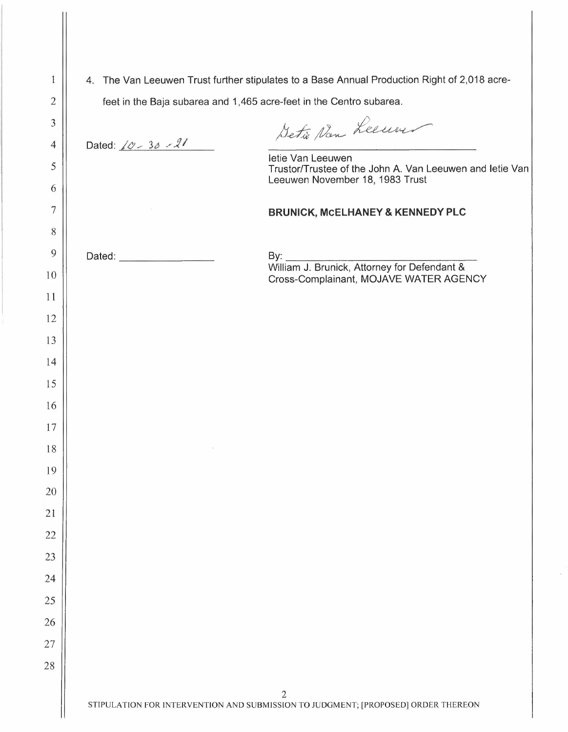| 1              |                                                                                                                                                                     |                                                                                                                  |  |  |  |  |  |  |
|----------------|---------------------------------------------------------------------------------------------------------------------------------------------------------------------|------------------------------------------------------------------------------------------------------------------|--|--|--|--|--|--|
| $\overline{2}$ | 4. The Van Leeuwen Trust further stipulates to a Base Annual Production Right of 2,018 acre-<br>feet in the Baja subarea and 1,465 acre-feet in the Centro subarea. |                                                                                                                  |  |  |  |  |  |  |
| 3              |                                                                                                                                                                     | Detie Nan Leeuwer                                                                                                |  |  |  |  |  |  |
| $\overline{4}$ | Dated: $60 - 30 - 21$                                                                                                                                               |                                                                                                                  |  |  |  |  |  |  |
| 5              |                                                                                                                                                                     | letie Van Leeuwen<br>Trustor/Trustee of the John A. Van Leeuwen and letie Van<br>Leeuwen November 18, 1983 Trust |  |  |  |  |  |  |
| 6              |                                                                                                                                                                     |                                                                                                                  |  |  |  |  |  |  |
| 7              |                                                                                                                                                                     | <b>BRUNICK, MCELHANEY &amp; KENNEDY PLC</b>                                                                      |  |  |  |  |  |  |
| 8              |                                                                                                                                                                     |                                                                                                                  |  |  |  |  |  |  |
| 9              | Dated: <b>Example 2018</b>                                                                                                                                          |                                                                                                                  |  |  |  |  |  |  |
| 10<br>11       |                                                                                                                                                                     | Cross-Complainant, MOJAVE WATER AGENCY                                                                           |  |  |  |  |  |  |
| 12             |                                                                                                                                                                     |                                                                                                                  |  |  |  |  |  |  |
| 13             |                                                                                                                                                                     |                                                                                                                  |  |  |  |  |  |  |
| 14             |                                                                                                                                                                     |                                                                                                                  |  |  |  |  |  |  |
| 15             |                                                                                                                                                                     |                                                                                                                  |  |  |  |  |  |  |
| 16             |                                                                                                                                                                     |                                                                                                                  |  |  |  |  |  |  |
| 17             |                                                                                                                                                                     |                                                                                                                  |  |  |  |  |  |  |
| 18             |                                                                                                                                                                     |                                                                                                                  |  |  |  |  |  |  |
| 19             |                                                                                                                                                                     |                                                                                                                  |  |  |  |  |  |  |
| 20             |                                                                                                                                                                     |                                                                                                                  |  |  |  |  |  |  |
| 21             |                                                                                                                                                                     |                                                                                                                  |  |  |  |  |  |  |
| 22             |                                                                                                                                                                     |                                                                                                                  |  |  |  |  |  |  |
| 23             |                                                                                                                                                                     |                                                                                                                  |  |  |  |  |  |  |
| 24             |                                                                                                                                                                     |                                                                                                                  |  |  |  |  |  |  |
| 25             |                                                                                                                                                                     |                                                                                                                  |  |  |  |  |  |  |
| 26             |                                                                                                                                                                     |                                                                                                                  |  |  |  |  |  |  |
| 27             |                                                                                                                                                                     |                                                                                                                  |  |  |  |  |  |  |
| 28             |                                                                                                                                                                     |                                                                                                                  |  |  |  |  |  |  |
|                |                                                                                                                                                                     |                                                                                                                  |  |  |  |  |  |  |
|                | 2<br>STIPULATION FOR INTERVENTION AND SUBMISSION TO JUDGMENT; [PROPOSED] ORDER THEREON                                                                              |                                                                                                                  |  |  |  |  |  |  |

 $\hat{\mathcal{L}}$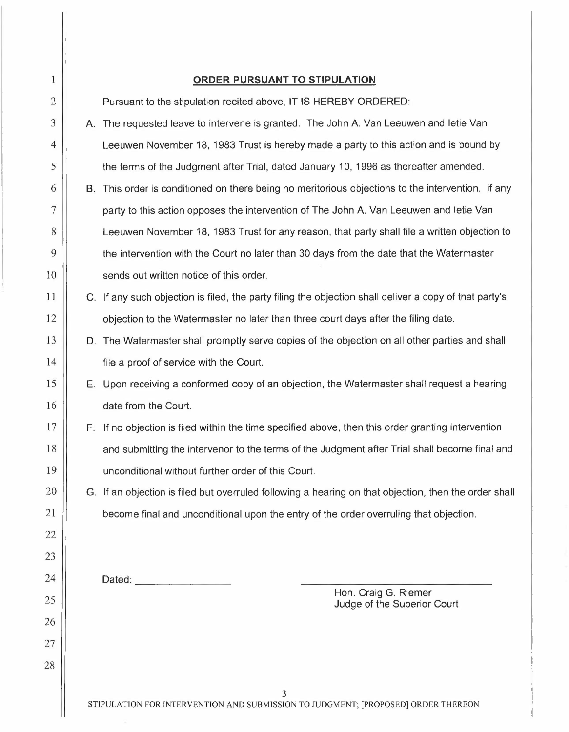| $\mathbf{1}$   |                                                                                   | <b>ORDER PURSUANT TO STIPULATION</b>                                                                   |  |  |  |
|----------------|-----------------------------------------------------------------------------------|--------------------------------------------------------------------------------------------------------|--|--|--|
| $\overline{2}$ |                                                                                   | Pursuant to the stipulation recited above, IT IS HEREBY ORDERED:                                       |  |  |  |
| 3              |                                                                                   | A. The requested leave to intervene is granted. The John A. Van Leeuwen and letie Van                  |  |  |  |
| 4              |                                                                                   | Leeuwen November 18, 1983 Trust is hereby made a party to this action and is bound by                  |  |  |  |
| 5              |                                                                                   | the terms of the Judgment after Trial, dated January 10, 1996 as thereafter amended.                   |  |  |  |
| 6              | В.                                                                                | This order is conditioned on there being no meritorious objections to the intervention. If any         |  |  |  |
| 7              |                                                                                   | party to this action opposes the intervention of The John A. Van Leeuwen and letie Van                 |  |  |  |
| 8              |                                                                                   | Leeuwen November 18, 1983 Trust for any reason, that party shall file a written objection to           |  |  |  |
| 9              |                                                                                   | the intervention with the Court no later than 30 days from the date that the Watermaster               |  |  |  |
| 10             |                                                                                   | sends out written notice of this order.                                                                |  |  |  |
| 11             |                                                                                   | C. If any such objection is filed, the party filing the objection shall deliver a copy of that party's |  |  |  |
| 12             |                                                                                   | objection to the Watermaster no later than three court days after the filing date.                     |  |  |  |
| 13             |                                                                                   | D. The Watermaster shall promptly serve copies of the objection on all other parties and shall         |  |  |  |
| 14             |                                                                                   | file a proof of service with the Court.                                                                |  |  |  |
| 15             |                                                                                   | E. Upon receiving a conformed copy of an objection, the Watermaster shall request a hearing            |  |  |  |
| 16             |                                                                                   | date from the Court.                                                                                   |  |  |  |
| 17             |                                                                                   | F. If no objection is filed within the time specified above, then this order granting intervention     |  |  |  |
| 18             |                                                                                   | and submitting the intervenor to the terms of the Judgment after Trial shall become final and          |  |  |  |
| 19             |                                                                                   | unconditional without further order of this Court.                                                     |  |  |  |
| 20             |                                                                                   | G. If an objection is filed but overruled following a hearing on that objection, then the order shall  |  |  |  |
| 21             |                                                                                   | become final and unconditional upon the entry of the order overruling that objection.                  |  |  |  |
| 22             |                                                                                   |                                                                                                        |  |  |  |
| 23             |                                                                                   |                                                                                                        |  |  |  |
| 24             |                                                                                   | Dated: <u>____________________</u>                                                                     |  |  |  |
| 25             |                                                                                   | Hon. Craig G. Riemer<br>Judge of the Superior Court                                                    |  |  |  |
| 26             |                                                                                   |                                                                                                        |  |  |  |
| 27             |                                                                                   |                                                                                                        |  |  |  |
| 28             |                                                                                   |                                                                                                        |  |  |  |
|                |                                                                                   | 3                                                                                                      |  |  |  |
|                | STIPULATION FOR INTERVENTION AND SUBMISSION TO JUDGMENT; [PROPOSED] ORDER THEREON |                                                                                                        |  |  |  |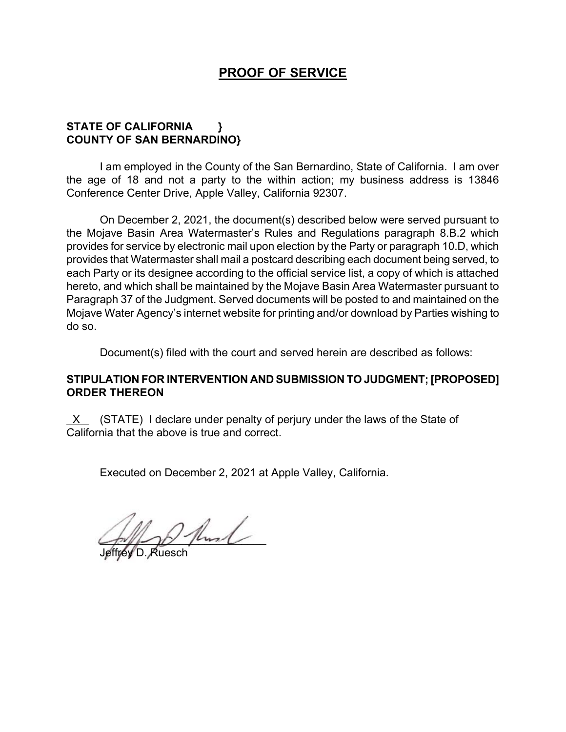## **PROOF OF SERVICE**

## **STATE OF CALIFORNIA } COUNTY OF SAN BERNARDINO}**

I am employed in the County of the San Bernardino, State of California. I am over the age of 18 and not a party to the within action; my business address is 13846 Conference Center Drive, Apple Valley, California 92307.

On December 2, 2021, the document(s) described below were served pursuant to the Mojave Basin Area Watermaster's Rules and Regulations paragraph 8.B.2 which provides for service by electronic mail upon election by the Party or paragraph 10.D, which provides that Watermaster shall mail a postcard describing each document being served, to each Party or its designee according to the official service list, a copy of which is attached hereto, and which shall be maintained by the Mojave Basin Area Watermaster pursuant to Paragraph 37 of the Judgment. Served documents will be posted to and maintained on the Mojave Water Agency's internet website for printing and/or download by Parties wishing to do so.

Document(s) filed with the court and served herein are described as follows:

## **STIPULATION FOR INTERVENTION AND SUBMISSION TO JUDGMENT; [PROPOSED] ORDER THEREON**

 $X$  (STATE) I declare under penalty of perjury under the laws of the State of California that the above is true and correct.

Executed on December 2, 2021 at Apple Valley, California.

 $2$  fluid

Jeffrey D. Ruesch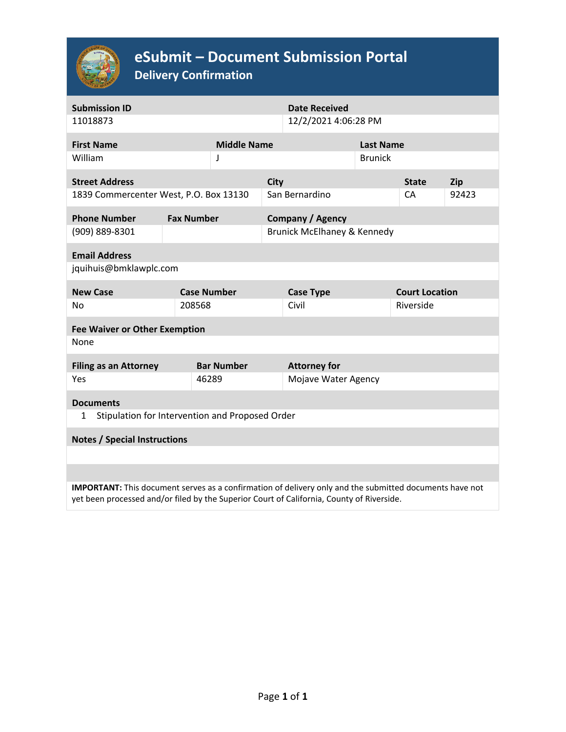

# **eSubmit – Document Submission Portal**

**Delivery Confirmation**

| <b>Submission ID</b><br>11018873                                                                                                                                                                            |                   | <b>Date Received</b><br>12/2/2021 4:06:28 PM |  |                             |                  |                       |            |  |  |  |
|-------------------------------------------------------------------------------------------------------------------------------------------------------------------------------------------------------------|-------------------|----------------------------------------------|--|-----------------------------|------------------|-----------------------|------------|--|--|--|
|                                                                                                                                                                                                             |                   |                                              |  |                             |                  |                       |            |  |  |  |
| <b>First Name</b>                                                                                                                                                                                           |                   | <b>Middle Name</b>                           |  |                             | <b>Last Name</b> |                       |            |  |  |  |
| William                                                                                                                                                                                                     |                   | J                                            |  | <b>Brunick</b>              |                  |                       |            |  |  |  |
|                                                                                                                                                                                                             |                   |                                              |  |                             |                  |                       |            |  |  |  |
| <b>Street Address</b>                                                                                                                                                                                       |                   | <b>City</b>                                  |  |                             |                  | <b>State</b>          | <b>Zip</b> |  |  |  |
| 1839 Commercenter West, P.O. Box 13130                                                                                                                                                                      |                   |                                              |  | San Bernardino              |                  | CA                    | 92423      |  |  |  |
| <b>Phone Number</b>                                                                                                                                                                                         | <b>Fax Number</b> |                                              |  | <b>Company / Agency</b>     |                  |                       |            |  |  |  |
| (909) 889-8301                                                                                                                                                                                              |                   |                                              |  | Brunick McElhaney & Kennedy |                  |                       |            |  |  |  |
| <b>Email Address</b>                                                                                                                                                                                        |                   |                                              |  |                             |                  |                       |            |  |  |  |
| jquihuis@bmklawplc.com                                                                                                                                                                                      |                   |                                              |  |                             |                  |                       |            |  |  |  |
|                                                                                                                                                                                                             |                   |                                              |  |                             |                  |                       |            |  |  |  |
| <b>New Case</b>                                                                                                                                                                                             |                   | <b>Case Number</b>                           |  | <b>Case Type</b>            |                  | <b>Court Location</b> |            |  |  |  |
| <b>No</b>                                                                                                                                                                                                   | 208568            |                                              |  | Civil                       |                  | Riverside             |            |  |  |  |
| <b>Fee Waiver or Other Exemption</b>                                                                                                                                                                        |                   |                                              |  |                             |                  |                       |            |  |  |  |
| None                                                                                                                                                                                                        |                   |                                              |  |                             |                  |                       |            |  |  |  |
| <b>Filing as an Attorney</b>                                                                                                                                                                                |                   | <b>Bar Number</b>                            |  | <b>Attorney for</b>         |                  |                       |            |  |  |  |
| Yes                                                                                                                                                                                                         |                   | 46289                                        |  | Mojave Water Agency         |                  |                       |            |  |  |  |
|                                                                                                                                                                                                             |                   |                                              |  |                             |                  |                       |            |  |  |  |
| <b>Documents</b>                                                                                                                                                                                            |                   |                                              |  |                             |                  |                       |            |  |  |  |
| Stipulation for Intervention and Proposed Order<br>1                                                                                                                                                        |                   |                                              |  |                             |                  |                       |            |  |  |  |
|                                                                                                                                                                                                             |                   |                                              |  |                             |                  |                       |            |  |  |  |
| <b>Notes / Special Instructions</b>                                                                                                                                                                         |                   |                                              |  |                             |                  |                       |            |  |  |  |
|                                                                                                                                                                                                             |                   |                                              |  |                             |                  |                       |            |  |  |  |
|                                                                                                                                                                                                             |                   |                                              |  |                             |                  |                       |            |  |  |  |
| <b>IMPORTANT:</b> This document serves as a confirmation of delivery only and the submitted documents have not<br>yet been processed and/or filed by the Superior Court of California, County of Riverside. |                   |                                              |  |                             |                  |                       |            |  |  |  |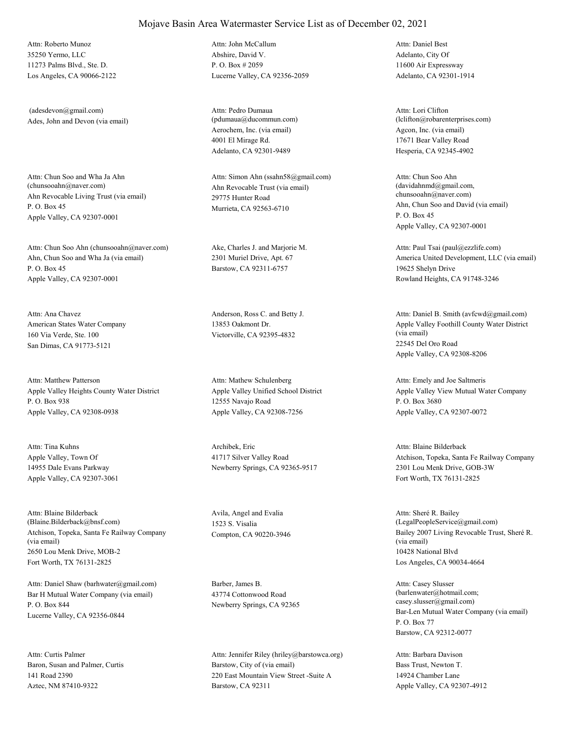35250 Yermo, LLC 11273 Palms Blvd., Ste. D. Los Angeles, CA 90066-2122 Attn: Roberto Munoz

Ades, John and Devon (via email) (adesdevon@gmail.com)

Ahn Revocable Living Trust (via email) P. O. Box 45 Apple Valley, CA 92307-0001 Attn: Chun Soo and Wha Ja Ahn<br>(chunsooahn@naver.com)

Ahn, Chun Soo and Wha Ja (via email) P. O. Box 45 Apple Valley, CA 92307-0001 Attn: Chun Soo Ahn (chunsooahn@naver.com) Ake, Charles J. and Marjorie M.

American States Water Company 160 Via Verde, Ste. 100 San Dimas, CA 91773-5121 Attn: Ana Chavez Anderson, Ross C. and Betty J.

Apple Valley Heights County Water District P. O. Box 938 Apple Valley, CA 92308-0938 Attn: Matthew Patterson

Apple Valley, Town Of 14955 Dale Evans Parkway Apple Valley, CA 92307-3061 Attn: Tina Kuhns Archibek, Eric

Atchison, Topeka, Santa Fe Railway Company (via email) 2650 Lou Menk Drive, MOB-2 Fort Worth, TX 76131-2825 Attn: Blaine Bilderback (Blaine.Bilderback@bnsf.com)

Bar H Mutual Water Company (via email) P. O. Box 844 Lucerne Valley, CA 92356-0844 Attn: Daniel Shaw (barhwater@gmail.com) Barber, James B.

Baron, Susan and Palmer, Curtis 141 Road 2390 Aztec, NM 87410-9322 Attn: Curtis Palmer

Abshire, David V. P. O. Box # 2059 Lucerne Valley, CA 92356-2059 Attn: John McCallum

Aerochem, Inc. (via email) 4001 El Mirage Rd. Adelanto, CA 92301-9489 Attn: Pedro Dumaua (pdumaua@ducommun.com)

Ahn Revocable Trust (via email) 29775 Hunter Road Murrieta, CA 92563-6710 Attn: Simon Ahn (ssahn58@gmail.com)

2301 Muriel Drive, Apt. 67 Barstow, CA 92311-6757

13853 Oakmont Dr. Victorville, CA 92395-4832

Apple Valley Unified School District 12555 Navajo Road Apple Valley, CA 92308-7256 Attn: Mathew Schulenberg

41717 Silver Valley Road Newberry Springs, CA 92365-9517

Avila, Angel and Evalia 1523 S. Visalia

43774 Cottonwood Road Newberry Springs, CA 92365

Barstow, City of (via email) 220 East Mountain View Street -Suite A Barstow, CA 92311 Attn: Jennifer Riley (hriley@barstowca.org) Adelanto, City Of 11600 Air Expressway Adelanto, CA 92301-1914 Attn: Daniel Best

Agcon, Inc. (via email) 17671 Bear Valley Road Hesperia, CA 92345-4902 Attn: Lori Clifton (lclifton@robarenterprises.com)

Ahn, Chun Soo and David (via email) P. O. Box 45 Apple Valley, CA 92307-0001 Attn: Chun Soo Ahn (davidahnmd@gmail.com, chunsooahn@naver.com)

America United Development, LLC (via email) 19625 Shelyn Drive Rowland Heights, CA 91748-3246 Attn: Paul Tsai (paul@ezzlife.com)

Apple Valley Foothill County Water District (via email) 22545 Del Oro Road Apple Valley, CA 92308-8206 Attn: Daniel B. Smith (avfcwd@gmail.com)

Apple Valley View Mutual Water Company P. O. Box 3680 Apple Valley, CA 92307-0072 Attn: Emely and Joe Saltmeris

Atchison, Topeka, Santa Fe Railway Company 2301 Lou Menk Drive, GOB-3W Fort Worth, TX 76131-2825 Attn: Blaine Bilderback

Compton, CA 90220-3946 Bailey 2007 Living Revocable Trust, Sheré R. (via email) 10428 National Blvd Los Angeles, CA 90034-4664 Attn: Sheré R. Bailey (LegalPeopleService@gmail.com)

> Bar-Len Mutual Water Company (via email) P. O. Box 77 Barstow, CA 92312-0077 Attn: Casey Slusser (barlenwater@hotmail.com; casey.slusser@gmail.com)

Bass Trust, Newton T. 14924 Chamber Lane Apple Valley, CA 92307-4912 Attn: Barbara Davison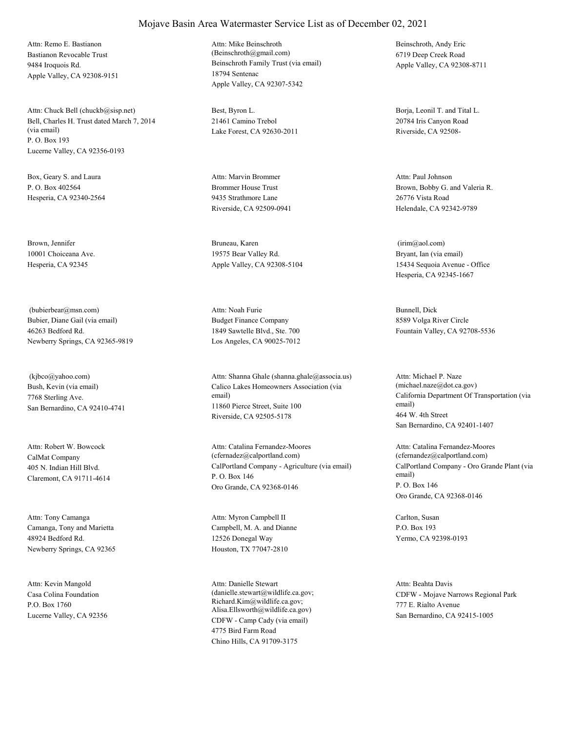Bastianon Revocable Trust 9484 Iroquois Rd. Apple Valley, CA 92308-9151 Attn: Remo E. Bastianon

Bell, Charles H. Trust dated March 7, 2014 (via email) P. O. Box 193 Lucerne Valley, CA 92356-0193 Attn: Chuck Bell (chuckb@sisp.net) Best, Byron L.

Box, Geary S. and Laura P. O. Box 402564 Hesperia, CA 92340-2564

Brown, Jennifer 10001 Choiceana Ave. Hesperia, CA 92345

Bubier, Diane Gail (via email) 46263 Bedford Rd. Newberry Springs, CA 92365-9819 (bubierbear@msn.com)

Bush, Kevin (via email) 7768 Sterling Ave. San Bernardino, CA 92410-4741 (kjbco@yahoo.com)

CalMat Company 405 N. Indian Hill Blvd. Claremont, CA 91711-4614 Attn: Robert W. Bowcock

Camanga, Tony and Marietta 48924 Bedford Rd. Newberry Springs, CA 92365 Attn: Tony Camanga

Casa Colina Foundation P.O. Box 1760 Lucerne Valley, CA 92356 Attn: Kevin Mangold

Beinschroth Family Trust (via email) 18794 Sentenac Apple Valley, CA 92307-5342 Attn: Mike Beinschroth (Beinschroth@gmail.com)

21461 Camino Trebol Lake Forest, CA 92630-2011

Brommer House Trust 9435 Strathmore Lane Riverside, CA 92509-0941 Attn: Marvin Brommer

Bruneau, Karen 19575 Bear Valley Rd. Apple Valley, CA 92308-5104

Budget Finance Company 1849 Sawtelle Blvd., Ste. 700 Los Angeles, CA 90025-7012 Attn: Noah Furie Bunnell, Dick

Calico Lakes Homeowners Association (via email) 11860 Pierce Street, Suite 100 Riverside, CA 92505-5178 Attn: Shanna Ghale (shanna.ghale@associa.us)

CalPortland Company - Agriculture (via email) P. O. Box 146 Oro Grande, CA 92368-0146 Attn: Catalina Fernandez-Moores (cfernadez@calportland.com)

Campbell, M. A. and Dianne 12526 Donegal Way Houston, TX 77047-2810 Attn: Myron Campbell II Carlton, Susan

CDFW - Camp Cady (via email) 4775 Bird Farm Road Chino Hills, CA 91709-3175 Attn: Danielle Stewart (danielle.stewart@wildlife.ca.gov; Richard.Kim@wildlife.ca.gov; Alisa.Ellsworth@wildlife.ca.gov)

Beinschroth, Andy Eric 6719 Deep Creek Road Apple Valley, CA 92308-8711

Borja, Leonil T. and Tital L. 20784 Iris Canyon Road Riverside, CA 92508-

Brown, Bobby G. and Valeria R. 26776 Vista Road Helendale, CA 92342-9789 Attn: Paul Johnson

Bryant, Ian (via email) 15434 Sequoia Avenue - Office Hesperia, CA 92345-1667 (irim@aol.com)

8589 Volga River Circle Fountain Valley, CA 92708-5536

California Department Of Transportation (via email) 464 W. 4th Street San Bernardino, CA 92401-1407 Attn: Michael P. Naze (michael.naze@dot.ca.gov)

CalPortland Company - Oro Grande Plant (via email) P. O. Box 146 Oro Grande, CA 92368-0146 Attn: Catalina Fernandez-Moores (cfernandez@calportland.com)

P.O. Box 193 Yermo, CA 92398-0193

CDFW - Mojave Narrows Regional Park 777 E. Rialto Avenue San Bernardino, CA 92415-1005 Attn: Beahta Davis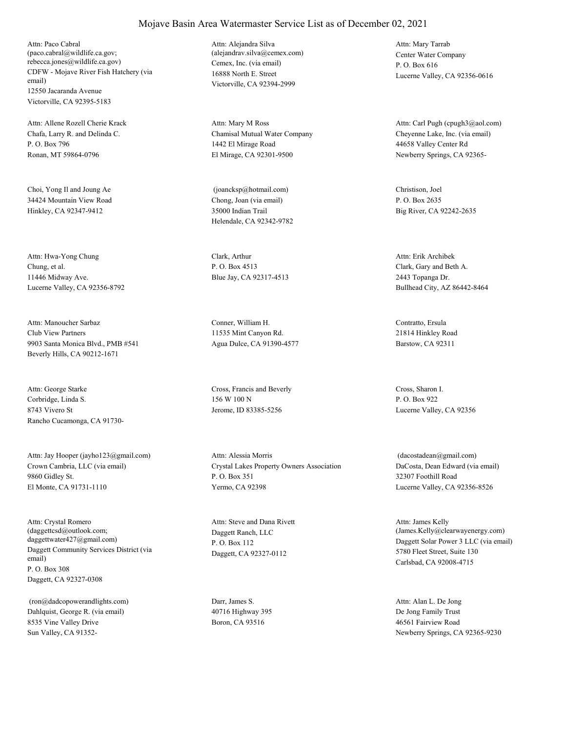CDFW - Mojave River Fish Hatchery (via email) 12550 Jacaranda Avenue Victorville, CA 92395-5183 Attn: Paco Cabral (paco.cabral@wildlife.ca.gov; rebecca.jones@wildlife.ca.gov) Cemex, Inc. (via email)

Chafa, Larry R. and Delinda C. P. O. Box 796 Ronan, MT 59864-0796 Attn: Allene Rozell Cherie Krack

Choi, Yong Il and Joung Ae 34424 Mountain View Road Hinkley, CA 92347-9412

Chung, et al. 11446 Midway Ave. Lucerne Valley, CA 92356-8792 Attn: Hwa-Yong Chung Clark, Arthur

Club View Partners 9903 Santa Monica Blvd., PMB #541 Beverly Hills, CA 90212-1671 Attn: Manoucher Sarbaz Conner, William H.

Corbridge, Linda S. 8743 Vivero St Rancho Cucamonga, CA 91730- Attn: George Starke Cross, Francis and Beverly

Crown Cambria, LLC (via email) 9860 Gidley St. El Monte, CA 91731-1110 Attn: Jay Hooper (jayho123@gmail.com)

Daggett Community Services District (via email) P. O. Box 308 Daggett, CA 92327-0308 Attn: Crystal Romero (daggettcsd@outlook.com; daggettwater427@gmail.com)

Dahlquist, George R. (via email) 8535 Vine Valley Drive Sun Valley, CA 91352- (ron@dadcopowerandlights.com) Darr, James S.

16888 North E. Street Victorville, CA 92394-2999 Attn: Alejandra Silva (alejandrav.silva@cemex.com) Center Water Company

Chamisal Mutual Water Company 1442 El Mirage Road El Mirage, CA 92301-9500 Attn: Mary M Ross

Chong, Joan (via email) 35000 Indian Trail Helendale, CA 92342-9782 (joancksp@hotmail.com) Christison, Joel

P. O. Box 4513 Blue Jay, CA 92317-4513

11535 Mint Canyon Rd. Agua Dulce, CA 91390-4577

156 W 100 N Jerome, ID 83385-5256

Crystal Lakes Property Owners Association P. O. Box 351 Yermo, CA 92398 Attn: Alessia Morris

Daggett Ranch, LLC P. O. Box 112 Daggett, CA 92327-0112 Attn: Steve and Dana Rivett

40716 Highway 395 Boron, CA 93516

P. O. Box 616 Lucerne Valley, CA 92356-0616 Attn: Mary Tarrab

Cheyenne Lake, Inc. (via email) 44658 Valley Center Rd Newberry Springs, CA 92365- Attn: Carl Pugh (cpugh3@aol.com)

P. O. Box 2635 Big River, CA 92242-2635

Clark, Gary and Beth A. 2443 Topanga Dr. Bullhead City, AZ 86442-8464 Attn: Erik Archibek

Contratto, Ersula 21814 Hinkley Road Barstow, CA 92311

Cross, Sharon I. P. O. Box 922 Lucerne Valley, CA 92356

DaCosta, Dean Edward (via email) 32307 Foothill Road Lucerne Valley, CA 92356-8526 (dacostadean@gmail.com)

Daggett Solar Power 3 LLC (via email) 5780 Fleet Street, Suite 130 Carlsbad, CA 92008-4715 Attn: James Kelly (James.Kelly@clearwayenergy.com)

De Jong Family Trust 46561 Fairview Road Newberry Springs, CA 92365-9230 Attn: Alan L. De Jong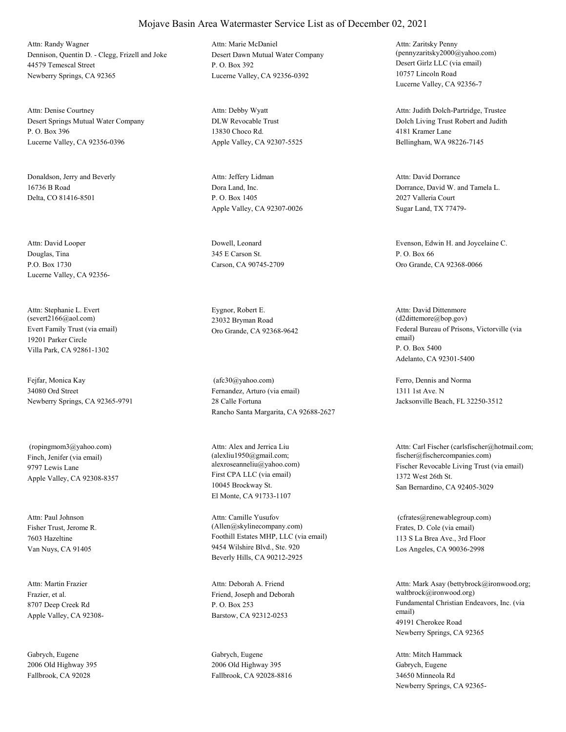Dennison, Quentin D. - Clegg, Frizell and Joke 44579 Temescal Street Newberry Springs, CA 92365 Attn: Randy Wagner

Desert Springs Mutual Water Company P. O. Box 396 Lucerne Valley, CA 92356-0396 Attn: Denise Courtney

Donaldson, Jerry and Beverly 16736 B Road Delta, CO 81416-8501

Douglas, Tina P.O. Box 1730 Lucerne Valley, CA 92356- Attn: David Looper Dowell, Leonard

Evert Family Trust (via email) 19201 Parker Circle Villa Park, CA 92861-1302 Attn: Stephanie L. Evert (severt2166@aol.com)

Fejfar, Monica Kay 34080 Ord Street Newberry Springs, CA 92365-9791

Finch, Jenifer (via email) 9797 Lewis Lane Apple Valley, CA 92308-8357 (ropingmom3@yahoo.com)

Fisher Trust, Jerome R. 7603 Hazeltine Van Nuys, CA 91405 Attn: Paul Johnson

Frazier, et al. 8707 Deep Creek Rd Apple Valley, CA 92308- Attn: Martin Frazier

Gabrych, Eugene 2006 Old Highway 395 Fallbrook, CA 92028

Desert Dawn Mutual Water Company P. O. Box 392 Lucerne Valley, CA 92356-0392 Attn: Marie McDaniel

DLW Revocable Trust 13830 Choco Rd. Apple Valley, CA 92307-5525 Attn: Debby Wyatt

Dora Land, Inc. P. O. Box 1405 Apple Valley, CA 92307-0026 Attn: Jeffery Lidman

345 E Carson St. Carson, CA 90745-2709

Eygnor, Robert E. 23032 Bryman Road

Fernandez, Arturo (via email) 28 Calle Fortuna Rancho Santa Margarita, CA 92688-2627 (afc30@yahoo.com) Ferro, Dennis and Norma

First CPA LLC (via email) 10045 Brockway St. El Monte, CA 91733-1107 Attn: Alex and Jerrica Liu (alexliu1950@gmail.com;

Foothill Estates MHP, LLC (via email) 9454 Wilshire Blvd., Ste. 920 Beverly Hills, CA 90212-2925 Attn: Camille Yusufov (Allen@skylinecompany.com) Frates, D. Cole (via email)

Friend, Joseph and Deborah P. O. Box 253 Barstow, CA 92312-0253 Attn: Deborah A. Friend

Gabrych, Eugene 2006 Old Highway 395 Fallbrook, CA 92028-8816 Desert Girlz LLC (via email) 10757 Lincoln Road Lucerne Valley, CA 92356-7 Attn: Zaritsky Penny (pennyzaritsky2000@yahoo.com)

Dolch Living Trust Robert and Judith 4181 Kramer Lane Bellingham, WA 98226-7145 Attn: Judith Dolch-Partridge, Trustee

Dorrance, David W. and Tamela L. 2027 Valleria Court Sugar Land, TX 77479- Attn: David Dorrance

Evenson, Edwin H. and Joycelaine C. P. O. Box 66 Oro Grande, CA 92368-0066

Oro Grande, CA 92368-9642 Federal Bureau of Prisons, Victorville (via email) P. O. Box 5400 Adelanto, CA 92301-5400 Attn: David Dittenmore (d2dittemore@bop.gov)

> 1311 1st Ave. N Jacksonville Beach, FL 32250-3512

alexroseanneliu@yahoo.com) Fischer Revocable Living Trust (via email) 1372 West 26th St. San Bernardino, CA 92405-3029 Attn: Carl Fischer (carlsfischer@hotmail.com; fischer@fischercompanies.com)

> 113 S La Brea Ave., 3rd Floor Los Angeles, CA 90036-2998 (cfrates@renewablegroup.com)

Fundamental Christian Endeavors, Inc. (via email) 49191 Cherokee Road Newberry Springs, CA 92365 Attn: Mark Asay (bettybrock@ironwood.org; waltbrock@ironwood.org)

Gabrych, Eugene 34650 Minneola Rd Newberry Springs, CA 92365- Attn: Mitch Hammack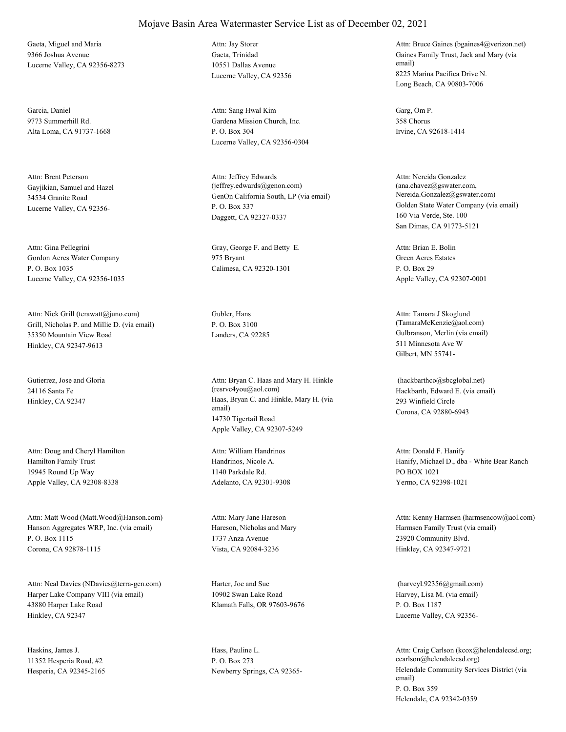Gaeta, Miguel and Maria 9366 Joshua Avenue Lucerne Valley, CA 92356-8273

Garcia, Daniel 9773 Summerhill Rd. Alta Loma, CA 91737-1668

Gayjikian, Samuel and Hazel 34534 Granite Road Lucerne Valley, CA 92356- Attn: Brent Peterson

Gordon Acres Water Company P. O. Box 1035 Lucerne Valley, CA 92356-1035 Attn: Gina Pellegrini Gray, George F. and Betty E.

Grill, Nicholas P. and Millie D. (via email) 35350 Mountain View Road Hinkley, CA 92347-9613 Attn: Nick Grill (terawatt@juno.com) Gubler, Hans

Gutierrez, Jose and Gloria 24116 Santa Fe

Hamilton Family Trust 19945 Round Up Way Apple Valley, CA 92308-8338 Attn: Doug and Cheryl Hamilton

Hanson Aggregates WRP, Inc. (via email) P. O. Box 1115 Corona, CA 92878-1115 Attn: Matt Wood (Matt.Wood@Hanson.com)

Harper Lake Company VIII (via email) 43880 Harper Lake Road Hinkley, CA 92347 Attn: Neal Davies (NDavies@terra-gen.com) Harter, Joe and Sue

Haskins, James J. 11352 Hesperia Road, #2 Hesperia, CA 92345-2165 Gaeta, Trinidad 10551 Dallas Avenue Lucerne Valley, CA 92356 Attn: Jay Storer

Gardena Mission Church, Inc. P. O. Box 304 Lucerne Valley, CA 92356-0304 Attn: Sang Hwal Kim Garg, Om P.

GenOn California South, LP (via email) P. O. Box 337 Daggett, CA 92327-0337 Attn: Jeffrey Edwards (jeffrey.edwards@genon.com)

975 Bryant Calimesa, CA 92320-1301

P. O. Box 3100

Hinkley, CA 92347 Haas, Bryan C. and Hinkle, Mary H. (via email) 14730 Tigertail Road Apple Valley, CA 92307-5249 Attn: Bryan C. Haas and Mary H. Hinkle (resrvc4you@aol.com) Hackbarth, Edward E. (via email)

> Handrinos, Nicole A. 1140 Parkdale Rd. Adelanto, CA 92301-9308 Attn: William Handrinos

Hareson, Nicholas and Mary 1737 Anza Avenue Vista, CA 92084-3236 Attn: Mary Jane Hareson

10902 Swan Lake Road Klamath Falls, OR 97603-9676

Hass, Pauline L. P. O. Box 273

Gaines Family Trust, Jack and Mary (via email) 8225 Marina Pacifica Drive N. Long Beach, CA 90803-7006 Attn: Bruce Gaines (bgaines4@verizon.net)

358 Chorus Irvine, CA 92618-1414

Golden State Water Company (via email) 160 Via Verde, Ste. 100 San Dimas, CA 91773-5121 Attn: Nereida Gonzalez (ana.chavez@gswater.com, Nereida.Gonzalez@gswater.com)

Green Acres Estates P. O. Box 29 Apple Valley, CA 92307-0001 Attn: Brian E. Bolin

Landers, CA 92285 Gulbranson, Merlin (via email) 511 Minnesota Ave W Gilbert, MN 55741- Attn: Tamara J Skoglund (TamaraMcKenzie@aol.com)

> 293 Winfield Circle Corona, CA 92880-6943 (hackbarthco@sbcglobal.net)

Hanify, Michael D., dba - White Bear Ranch PO BOX 1021 Yermo, CA 92398-1021 Attn: Donald F. Hanify

Harmsen Family Trust (via email) 23920 Community Blvd. Hinkley, CA 92347-9721 Attn: Kenny Harmsen (harmsencow@aol.com)

Harvey, Lisa M. (via email) P. O. Box 1187 Lucerne Valley, CA 92356- (harveyl.92356@gmail.com)

Newberry Springs, CA 92365- Helendale Community Services District (via email) P. O. Box 359 Helendale, CA 92342-0359 Attn: Craig Carlson (kcox@helendalecsd.org; ccarlson@helendalecsd.org)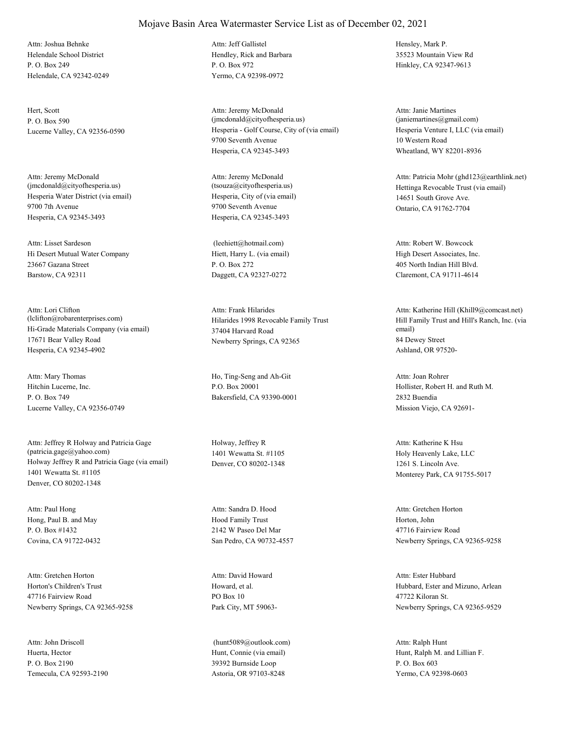Helendale School District P. O. Box 249 Helendale, CA 92342-0249 Attn: Joshua Behnke

Hert, Scott P. O. Box 590

Hesperia Water District (via email) 9700 7th Avenue Hesperia, CA 92345-3493 Attn: Jeremy McDonald (jmcdonald@cityofhesperia.us)

Hi Desert Mutual Water Company 23667 Gazana Street Barstow, CA 92311 Attn: Lisset Sardeson

Hi-Grade Materials Company (via email) 17671 Bear Valley Road Hesperia, CA 92345-4902 Attn: Lori Clifton (lclifton@robarenterprises.com) Hilarides 1998 Revocable Family Trust

Hitchin Lucerne, Inc. P. O. Box 749 Lucerne Valley, CA 92356-0749 Attn: Mary Thomas Ho, Ting-Seng and Ah-Git

Holway Jeffrey R and Patricia Gage (via email) 1401 Wewatta St. #1105 Denver, CO 80202-1348 Attn: Jeffrey R Holway and Patricia Gage (patricia.gage@yahoo.com)

Hong, Paul B. and May P. O. Box #1432 Covina, CA 91722-0432 Attn: Paul Hong

Horton's Children's Trust 47716 Fairview Road Newberry Springs, CA 92365-9258 Attn: Gretchen Horton

Huerta, Hector P. O. Box 2190 Temecula, CA 92593-2190 Attn: John Driscoll

## Mojave Basin Area Watermaster Service List as of December 02, 2021

Hendley, Rick and Barbara P. O. Box 972 Yermo, CA 92398-0972 Attn: Jeff Gallistel Hensley, Mark P.

Lucerne Valley, CA 92356-0590 Hesperia - Golf Course, City of (via email) 9700 Seventh Avenue Hesperia, CA 92345-3493 Attn: Jeremy McDonald (jmcdonald@cityofhesperia.us)

> Hesperia, City of (via email) 9700 Seventh Avenue Hesperia, CA 92345-3493 Attn: Jeremy McDonald<br>(tsouza@cityofhesperia.us)

Hiett, Harry L. (via email) P. O. Box 272 Daggett, CA 92327-0272 (leehiett@hotmail.com)

37404 Harvard Road Newberry Springs, CA 92365 Attn: Frank Hilarides

P.O. Box 20001 Bakersfield, CA 93390-0001

Holway, Jeffrey R 1401 Wewatta St. #1105 Denver, CO 80202-1348

Hood Family Trust 2142 W Paseo Del Mar San Pedro, CA 90732-4557 Attn: Sandra D. Hood

Howard, et al. PO Box 10 Park City, MT 59063- Attn: David Howard

Hunt, Connie (via email) 39392 Burnside Loop Astoria, OR 97103-8248 (hunt5089@outlook.com) 35523 Mountain View Rd Hinkley, CA 92347-9613

Hesperia Venture I, LLC (via email) 10 Western Road Wheatland, WY 82201-8936 Attn: Janie Martines (janiemartines@gmail.com)

Hettinga Revocable Trust (via email) 14651 South Grove Ave. Ontario, CA 91762-7704 Attn: Patricia Mohr (ghd123@earthlink.net)

High Desert Associates, Inc. 405 North Indian Hill Blvd. Claremont, CA 91711-4614 Attn: Robert W. Bowcock

Hill Family Trust and Hill's Ranch, Inc. (via email) 84 Dewey Street Ashland, OR 97520- Attn: Katherine Hill (Khill9@comcast.net)

Hollister, Robert H. and Ruth M. 2832 Buendia Mission Viejo, CA 92691- Attn: Joan Rohrer

Holy Heavenly Lake, LLC 1261 S. Lincoln Ave. Monterey Park, CA 91755-5017 Attn: Katherine K Hsu

Horton, John 47716 Fairview Road Newberry Springs, CA 92365-9258 Attn: Gretchen Horton

Hubbard, Ester and Mizuno, Arlean 47722 Kiloran St. Newberry Springs, CA 92365-9529 Attn: Ester Hubbard

Hunt, Ralph M. and Lillian F. P. O. Box 603 Yermo, CA 92398-0603 Attn: Ralph Hunt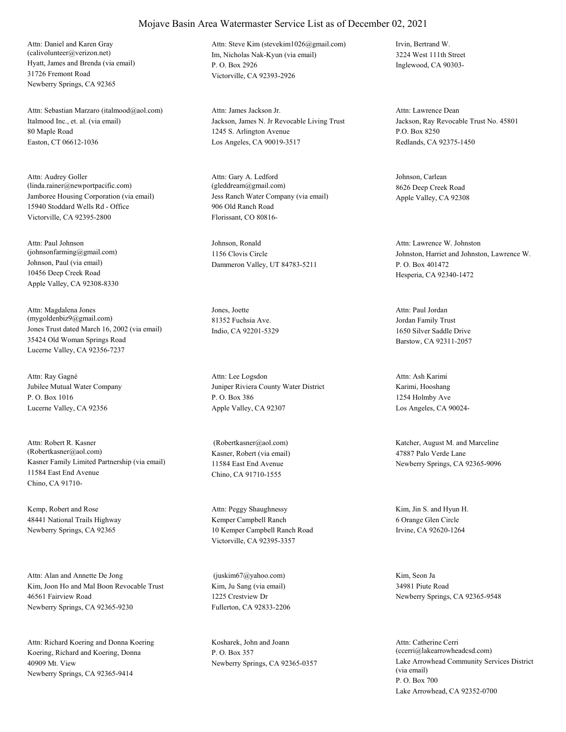Hyatt, James and Brenda (via email) 31726 Fremont Road Newberry Springs, CA 92365 Attn: Daniel and Karen Gray (calivolunteer@verizon.net) Im, Nicholas Nak-Kyun (via email)

Italmood Inc., et. al. (via email) 80 Maple Road Easton, CT 06612-1036 Attn: Sebastian Marzaro (italmood@aol.com)

Jamboree Housing Corporation (via email) 15940 Stoddard Wells Rd - Office Victorville, CA 92395-2800 Attn: Audrey Goller (linda.rainer@newportpacific.com)

Johnson, Paul (via email) 10456 Deep Creek Road Apple Valley, CA 92308-8330 Attn: Paul Johnson (johnsonfarming@gmail.com)

Jones Trust dated March 16, 2002 (via email) 35424 Old Woman Springs Road Lucerne Valley, CA 92356-7237 Attn: Magdalena Jones (mygoldenbiz9@gmail.com)

Jubilee Mutual Water Company P. O. Box 1016 Lucerne Valley, CA 92356 Attn: Ray Gagné

Kasner Family Limited Partnership (via email) 11584 East End Avenue Chino, CA 91710- Attn: Robert R. Kasner (Robertkasner@aol.com) Kasner, Robert (via email)

Kemp, Robert and Rose 48441 National Trails Highway Newberry Springs, CA 92365

Kim, Joon Ho and Mal Boon Revocable Trust 46561 Fairview Road Newberry Springs, CA 92365-9230 Attn: Alan and Annette De Jong

Koering, Richard and Koering, Donna 40909 Mt. View Newberry Springs, CA 92365-9414 Attn: Richard Koering and Donna Koering Kosharek, John and Joann

P. O. Box 2926 Victorville, CA 92393-2926 Attn: Steve Kim (stevekim1026@gmail.com) Irvin, Bertrand W.

Jackson, James N. Jr Revocable Living Trust 1245 S. Arlington Avenue Los Angeles, CA 90019-3517 Attn: James Jackson Jr.

Jess Ranch Water Company (via email) 906 Old Ranch Road Florissant, CO 80816- Attn: Gary A. Ledford (gleddream@gmail.com)

Johnson, Ronald 1156 Clovis Circle Dammeron Valley, UT 84783-5211

Jones, Joette 81352 Fuchsia Ave. Indio, CA 92201-5329

Juniper Riviera County Water District P. O. Box 386 Apple Valley, CA 92307 Attn: Lee Logsdon

11584 East End Avenue Chino, CA 91710-1555

Kemper Campbell Ranch 10 Kemper Campbell Ranch Road Victorville, CA 92395-3357 Attn: Peggy Shaughnessy Kim, Jin S. and Hyun H.

Kim, Ju Sang (via email) 1225 Crestview Dr Fullerton, CA 92833-2206 (juskim67@yahoo.com) Kim, Seon Ja

P. O. Box 357

3224 West 111th Street Inglewood, CA 90303-

Jackson, Ray Revocable Trust No. 45801 P.O. Box 8250 Redlands, CA 92375-1450 Attn: Lawrence Dean

Johnson, Carlean 8626 Deep Creek Road Apple Valley, CA 92308

Johnston, Harriet and Johnston, Lawrence W. P. O. Box 401472 Hesperia, CA 92340-1472 Attn: Lawrence W. Johnston

Jordan Family Trust 1650 Silver Saddle Drive Barstow, CA 92311-2057 Attn: Paul Jordan

Karimi, Hooshang 1254 Holmby Ave Los Angeles, CA 90024- Attn: Ash Karimi

 (Robertkasner@aol.com) Katcher, August M. and Marceline 47887 Palo Verde Lane Newberry Springs, CA 92365-9096

> 6 Orange Glen Circle Irvine, CA 92620-1264

34981 Piute Road Newberry Springs, CA 92365-9548

Newberry Springs, CA 92365-0357 Lake Arrowhead Community Services District (via email) P. O. Box 700 Lake Arrowhead, CA 92352-0700 Attn: Catherine Cerri (ccerri@lakearrowheadcsd.com)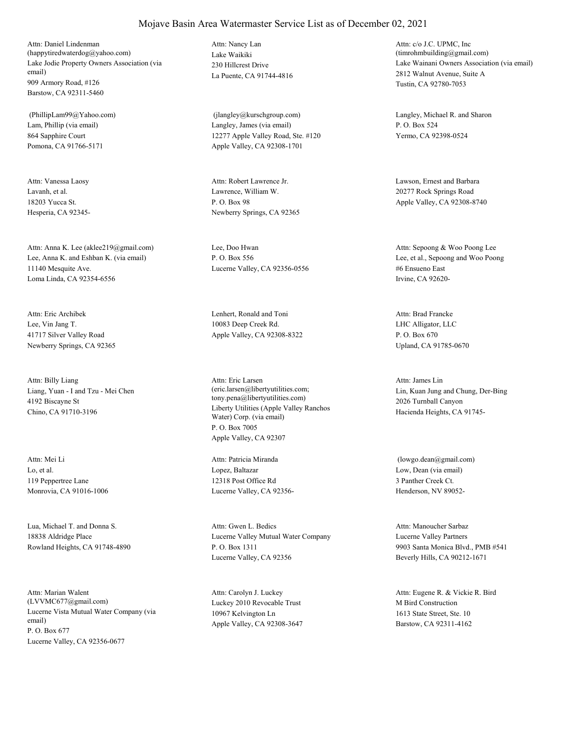Lake Jodie Property Owners Association (via email) 909 Armory Road, #126 Barstow, CA 92311-5460 Attn: Daniel Lindenman (happytiredwaterdog@yahoo.com) Lake Waikiki

Lam, Phillip (via email) 864 Sapphire Court Pomona, CA 91766-5171 (PhillipLam99@Yahoo.com)

Lavanh, et al. 18203 Yucca St. Hesperia, CA 92345- Attn: Vanessa Laosy

Lee, Anna K. and Eshban K. (via email) 11140 Mesquite Ave. Loma Linda, CA 92354-6556 Attn: Anna K. Lee (aklee219@gmail.com) Lee, Doo Hwan

Lee, Vin Jang T. 41717 Silver Valley Road Newberry Springs, CA 92365 Attn: Eric Archibek Lenhert, Ronald and Toni

Liang, Yuan - I and Tzu - Mei Chen 4192 Biscayne St Chino, CA 91710-3196 Attn: Billy Liang

Lo, et al. 119 Peppertree Lane Monrovia, CA 91016-1006 Attn: Mei Li

Lua, Michael T. and Donna S. 18838 Aldridge Place Rowland Heights, CA 91748-4890

Lucerne Vista Mutual Water Company (via email) P. O. Box 677 Lucerne Valley, CA 92356-0677 Attn: Marian Walent<br>(LVVMC677@gmail.com)

230 Hillcrest Drive La Puente, CA 91744-4816 Attn: Nancy Lan

Langley, James (via email) 12277 Apple Valley Road, Ste. #120 Apple Valley, CA 92308-1701

Lawrence, William W. P. O. Box 98 Newberry Springs, CA 92365 Attn: Robert Lawrence Jr. Lawson, Ernest and Barbara

P. O. Box 556 Lucerne Valley, CA 92356-0556

10083 Deep Creek Rd. Apple Valley, CA 92308-8322

Liberty Utilities (Apple Valley Ranchos Water) Corp. (via email) P. O. Box 7005 Apple Valley, CA 92307 Attn: Eric Larsen (eric.larsen@libertyutilities.com; tony.pena@libertyutilities.com)

Lopez, Baltazar 12318 Post Office Rd Lucerne Valley, CA 92356- Attn: Patricia Miranda

Lucerne Valley Mutual Water Company P. O. Box 1311 Lucerne Valley, CA 92356 Attn: Gwen L. Bedics

Luckey 2010 Revocable Trust 10967 Kelvington Ln Apple Valley, CA 92308-3647 Attn: Carolyn J. Luckey

Lake Wainani Owners Association (via email) 2812 Walnut Avenue, Suite A Tustin, CA 92780-7053 Attn: c/o J.C. UPMC, Inc (timrohmbuilding@gmail.com)

 (jlangley@kurschgroup.com) Langley, Michael R. and Sharon P. O. Box 524 Yermo, CA 92398-0524

> 20277 Rock Springs Road Apple Valley, CA 92308-8740

Lee, et al., Sepoong and Woo Poong #6 Ensueno East Irvine, CA 92620- Attn: Sepoong & Woo Poong Lee

LHC Alligator, LLC P. O. Box 670 Upland, CA 91785-0670 Attn: Brad Francke

Lin, Kuan Jung and Chung, Der-Bing 2026 Turnball Canyon Hacienda Heights, CA 91745- Attn: James Lin

Low, Dean (via email) 3 Panther Creek Ct. Henderson, NV 89052- (lowgo.dean@gmail.com)

Lucerne Valley Partners 9903 Santa Monica Blvd., PMB #541 Beverly Hills, CA 90212-1671 Attn: Manoucher Sarbaz

M Bird Construction 1613 State Street, Ste. 10 Barstow, CA 92311-4162 Attn: Eugene R. & Vickie R. Bird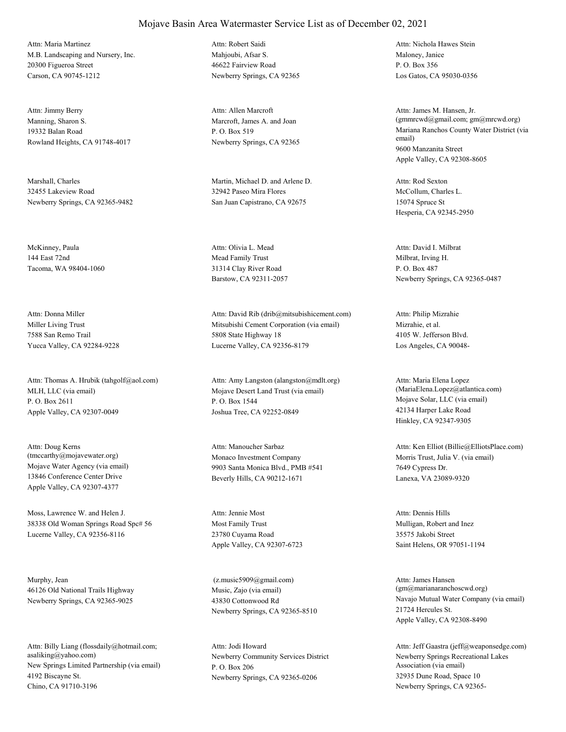M.B. Landscaping and Nursery, Inc. 20300 Figueroa Street Carson, CA 90745-1212 Attn: Maria Martinez

Manning, Sharon S. 19332 Balan Road Rowland Heights, CA 91748-4017 Attn: Jimmy Berry

Marshall, Charles 32455 Lakeview Road Newberry Springs, CA 92365-9482

McKinney, Paula 144 East 72nd Tacoma, WA 98404-1060

Miller Living Trust 7588 San Remo Trail Yucca Valley, CA 92284-9228 Attn: Donna Miller

MLH, LLC (via email) P. O. Box 2611 Apple Valley, CA 92307-0049 Attn: Thomas A. Hrubik (tahgolf@aol.com)

Mojave Water Agency (via email) 13846 Conference Center Drive Apple Valley, CA 92307-4377 Attn: Doug Kerns (tmccarthy@mojavewater.org) Monaco Investment Company

Moss, Lawrence W. and Helen J. 38338 Old Woman Springs Road Spc# 56 Lucerne Valley, CA 92356-8116

Murphy, Jean 46126 Old National Trails Highway Newberry Springs, CA 92365-9025

New Springs Limited Partnership (via email) 4192 Biscayne St. Chino, CA 91710-3196 Attn: Billy Liang (flossdaily@hotmail.com; asaliking@yahoo.com) Newberry Community Services District

Mahioubi, Afsar S. 46622 Fairview Road Newberry Springs, CA 92365 Attn: Robert Saidi

Marcroft, James A. and Joan P. O. Box 519 Newberry Springs, CA 92365 Attn: Allen Marcroft

Martin, Michael D. and Arlene D. 32942 Paseo Mira Flores San Juan Capistrano, CA 92675

Mead Family Trust 31314 Clay River Road Barstow, CA 92311-2057 Attn: Olivia L. Mead

Mitsubishi Cement Corporation (via email) 5808 State Highway 18 Lucerne Valley, CA 92356-8179 Attn: David Rib (drib@mitsubishicement.com)

Mojave Desert Land Trust (via email) P. O. Box 1544 Joshua Tree, CA 92252-0849 Attn: Amy Langston (alangston@mdlt.org)

9903 Santa Monica Blvd., PMB #541 Beverly Hills, CA 90212-1671 Attn: Manoucher Sarbaz

Most Family Trust 23780 Cuyama Road Apple Valley, CA 92307-6723 Attn: Jennie Most

Music, Zajo (via email) 43830 Cottonwood Rd Newberry Springs, CA 92365-8510 (z.music5909@gmail.com)

P. O. Box 206 Newberry Springs, CA 92365-0206 Attn: Jodi Howard

Maloney, Janice P. O. Box 356 Los Gatos, CA 95030-0356 Attn: Nichola Hawes Stein

Mariana Ranchos County Water District (via email) 9600 Manzanita Street Apple Valley, CA 92308-8605 Attn: James M. Hansen, Jr. (gmmrcwd@gmail.com; gm@mrcwd.org)

McCollum, Charles L. 15074 Spruce St Hesperia, CA 92345-2950 Attn: Rod Sexton

Milbrat, Irving H. P. O. Box 487 Newberry Springs, CA 92365-0487 Attn: David I. Milbrat

Mizrahie, et al. 4105 W. Jefferson Blvd. Los Angeles, CA 90048- Attn: Philip Mizrahie

Mojave Solar, LLC (via email) 42134 Harper Lake Road Hinkley, CA 92347-9305 Attn: Maria Elena Lopez (MariaElena.Lopez@atlantica.com)

Morris Trust, Julia V. (via email) 7649 Cypress Dr. Lanexa, VA 23089-9320 Attn: Ken Elliot (Billie@ElliotsPlace.com)

Mulligan, Robert and Inez 35575 Jakobi Street Saint Helens, OR 97051-1194 Attn: Dennis Hills

Navajo Mutual Water Company (via email) 21724 Hercules St. Apple Valley, CA 92308-8490 Attn: James Hansen (gm@marianaranchoscwd.org)

Newberry Springs Recreational Lakes Association (via email) 32935 Dune Road, Space 10 Newberry Springs, CA 92365- Attn: Jeff Gaastra (jeff@weaponsedge.com)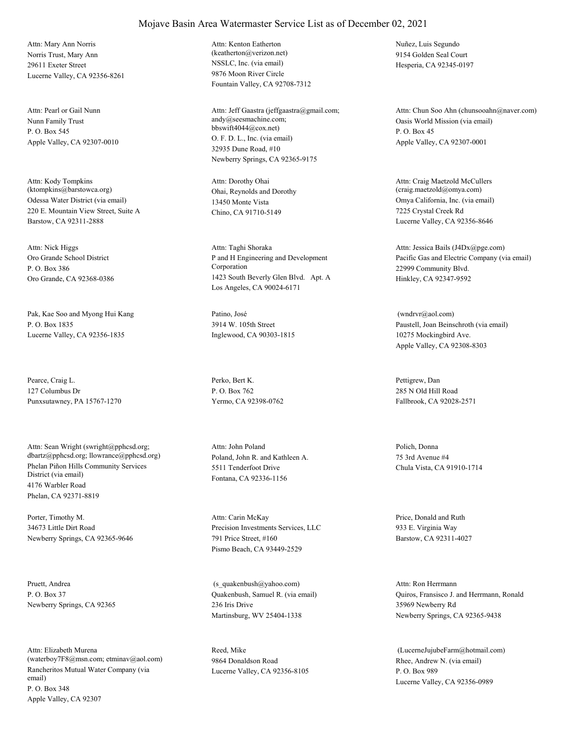Norris Trust, Mary Ann 29611 Exeter Street Lucerne Valley, CA 92356-8261 Attn: Mary Ann Norris

Nunn Family Trust P. O. Box 545 Apple Valley, CA 92307-0010 Attn: Pearl or Gail Nunn

Odessa Water District (via email) 220 E. Mountain View Street, Suite A Barstow, CA 92311-2888 Attn: Kody Tompkins (ktompkins@barstowca.org) Ohai, Reynolds and Dorothy

Oro Grande School District P. O. Box 386 Oro Grande, CA 92368-0386 Attn: Nick Higgs

Pak, Kae Soo and Myong Hui Kang P. O. Box 1835 Lucerne Valley, CA 92356-1835

Pearce, Craig L. 127 Columbus Dr Punxsutawney, PA 15767-1270

Phelan Piñon Hills Community Services District (via email) 4176 Warbler Road Phelan, CA 92371-8819 Attn: Sean Wright (swright@pphcsd.org; dbartz@pphcsd.org; llowrance@pphcsd.org) Poland, John R. and Kathleen A.

Porter, Timothy M. 34673 Little Dirt Road Newberry Springs, CA 92365-9646

Pruett, Andrea P. O. Box 37 Newberry Springs, CA 92365

Rancheritos Mutual Water Company (via email) P. O. Box 348 Apple Valley, CA 92307 Attn: Elizabeth Murena (waterboy7F8@msn.com; etminav@aol.com) NSSLC, Inc. (via email) 9876 Moon River Circle Fountain Valley, CA 92708-7312 Attn: Kenton Eatherton (keatherton@verizon.net)

O. F. D. L., Inc. (via email) 32935 Dune Road, #10 Newberry Springs, CA 92365-9175 Attn: Jeff Gaastra (jeffgaastra@gmail.com; andy@seesmachine.com; bbswift4044@cox.net)

13450 Monte Vista Chino, CA 91710-5149 Attn: Dorothy Ohai

P and H Engineering and Development Corporation 1423 South Beverly Glen Blvd. Apt. A Los Angeles, CA 90024-6171 Attn: Taghi Shoraka

Patino, José 3914 W. 105th Street Inglewood, CA 90303-1815

Perko, Bert K. P. O. Box 762 Yermo, CA 92398-0762

5511 Tenderfoot Drive Fontana, CA 92336-1156 Attn: John Poland Polich, Donna

Precision Investments Services, LLC 791 Price Street, #160 Pismo Beach, CA 93449-2529 Attn: Carin McKay Price, Donald and Ruth

Quakenbush, Samuel R. (via email) 236 Iris Drive Martinsburg, WV 25404-1338 (s\_quakenbush@yahoo.com)

Reed, Mike 9864 Donaldson Road Lucerne Valley, CA 92356-8105 Nuñez, Luis Segundo 9154 Golden Seal Court Hesperia, CA 92345-0197

Oasis World Mission (via email) P. O. Box 45 Apple Valley, CA 92307-0001 Attn: Chun Soo Ahn (chunsooahn@naver.com)

Omya California, Inc. (via email) 7225 Crystal Creek Rd Lucerne Valley, CA 92356-8646 Attn: Craig Maetzold McCullers (craig.maetzold@omya.com)

Pacific Gas and Electric Company (via email) 22999 Community Blvd. Hinkley, CA 92347-9592 Attn: Jessica Bails (J4Dx@pge.com)

Paustell, Joan Beinschroth (via email) 10275 Mockingbird Ave. Apple Valley, CA 92308-8303 (wndrvr@aol.com)

Pettigrew, Dan 285 N Old Hill Road Fallbrook, CA 92028-2571

75 3rd Avenue #4 Chula Vista, CA 91910-1714

933 E. Virginia Way Barstow, CA 92311-4027

Quiros, Fransisco J. and Herrmann, Ronald 35969 Newberry Rd Newberry Springs, CA 92365-9438 Attn: Ron Herrmann

Rhee, Andrew N. (via email) P. O. Box 989 Lucerne Valley, CA 92356-0989 (LucerneJujubeFarm@hotmail.com)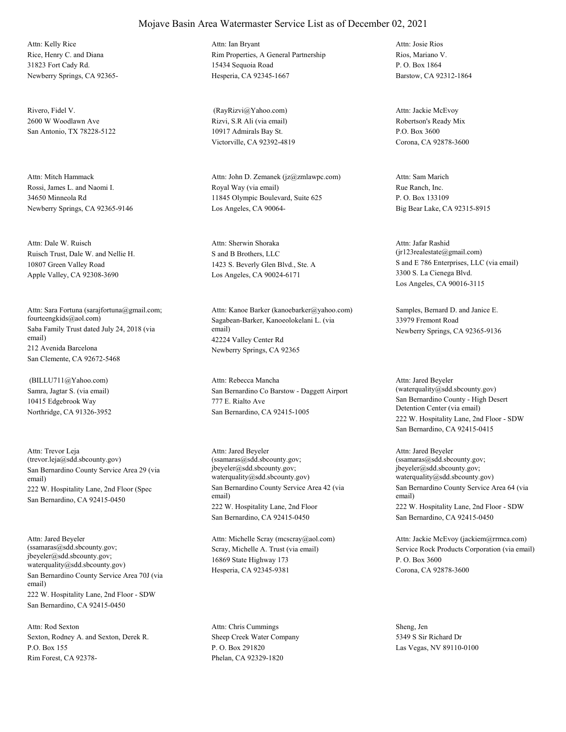Rice, Henry C. and Diana 31823 Fort Cady Rd. Newberry Springs, CA 92365- Attn: Kelly Rice

Rivero, Fidel V. 2600 W Woodlawn Ave San Antonio, TX 78228-5122

Rossi, James L. and Naomi I. 34650 Minneola Rd Newberry Springs, CA 92365-9146 Attn: Mitch Hammack

Ruisch Trust, Dale W. and Nellie H. 10807 Green Valley Road Apple Valley, CA 92308-3690 Attn: Dale W. Ruisch

Saba Family Trust dated July 24, 2018 (via email) 212 Avenida Barcelona San Clemente, CA 92672-5468 Attn: Sara Fortuna (sarajfortuna@gmail.com; fourteengkids@aol.com) Sagabean-Barker, Kanoeolokelani L. (via

Samra, Jagtar S. (via email) 10415 Edgebrook Way Northridge, CA 91326-3952 (BILLU711@Yahoo.com)

San Bernardino County Service Area 29 (via email) 222 W. Hospitality Lane, 2nd Floor (Spec San Bernardino, CA 92415-0450 Attn: Trevor Leja (trevor.leja@sdd.sbcounty.gov)

San Bernardino County Service Area 70J (via email) 222 W. Hospitality Lane, 2nd Floor - SDW San Bernardino, CA 92415-0450 Attn: Jared Beyeler (ssamaras@sdd.sbcounty.gov; jbeyeler@sdd.sbcounty.gov; waterquality@sdd.sbcounty.gov)

Sexton, Rodney A. and Sexton, Derek R. P.O. Box 155 Rim Forest, CA 92378- Attn: Rod Sexton

Rim Properties, A General Partnership 15434 Sequoia Road Hesperia, CA 92345-1667 Attn: Ian Bryant

Rizvi, S.R Ali (via email) 10917 Admirals Bay St. Victorville, CA 92392-4819 (RayRizvi@Yahoo.com)

Royal Way (via email) 11845 Olympic Boulevard, Suite 625 Los Angeles, CA 90064- Attn: John D. Zemanek (jz@zmlawpc.com)

S and B Brothers, LLC 1423 S. Beverly Glen Blvd., Ste. A Los Angeles, CA 90024-6171 Attn: Sherwin Shoraka

email) 42224 Valley Center Rd Newberry Springs, CA 92365 Attn: Kanoe Barker (kanoebarker@yahoo.com) Samples, Bernard D. and Janice E.

San Bernardino Co Barstow - Daggett Airport 777 E. Rialto Ave San Bernardino, CA 92415-1005 Attn: Rebecca Mancha

San Bernardino County Service Area 42 (via email) 222 W. Hospitality Lane, 2nd Floor San Bernardino, CA 92415-0450 Attn: Jared Beyeler (ssamaras@sdd.sbcounty.gov; jbeyeler@sdd.sbcounty.gov; waterquality@sdd.sbcounty.gov)

Scray, Michelle A. Trust (via email) 16869 State Highway 173 Hesperia, CA 92345-9381 Attn: Michelle Scray (mcscray@aol.com)

Sheep Creek Water Company P. O. Box 291820 Phelan, CA 92329-1820 Attn: Chris Cummings Sheng, Jen

Rios, Mariano V. P. O. Box 1864 Barstow, CA 92312-1864 Attn: Josie Rios

Robertson's Ready Mix P.O. Box 3600 Corona, CA 92878-3600 Attn: Jackie McEvoy

Rue Ranch, Inc. P. O. Box 133109 Big Bear Lake, CA 92315-8915 Attn: Sam Marich

S and E 786 Enterprises, LLC (via email) 3300 S. La Cienega Blvd. Los Angeles, CA 90016-3115 Attn: Jafar Rashid (jr123realestate@gmail.com)

33979 Fremont Road Newberry Springs, CA 92365-9136

San Bernardino County - High Desert Detention Center (via email) 222 W. Hospitality Lane, 2nd Floor - SDW San Bernardino, CA 92415-0415 Attn: Jared Beyeler (waterquality@sdd.sbcounty.gov)

San Bernardino County Service Area 64 (via email) 222 W. Hospitality Lane, 2nd Floor - SDW San Bernardino, CA 92415-0450 Attn: Jared Beyeler (ssamaras@sdd.sbcounty.gov; jbeyeler@sdd.sbcounty.gov; waterquality@sdd.sbcounty.gov)

Service Rock Products Corporation (via email) P. O. Box 3600 Corona, CA 92878-3600 Attn: Jackie McEvoy (jackiem@rrmca.com)

5349 S Sir Richard Dr Las Vegas, NV 89110-0100

### Mojave Basin Area Watermaster Service List as of December 02, 2021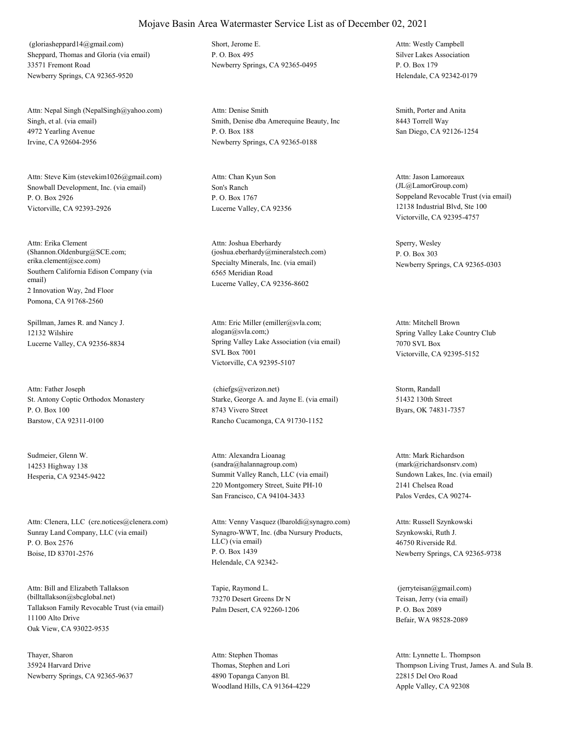Sheppard, Thomas and Gloria (via email) 33571 Fremont Road Newberry Springs, CA 92365-9520 (gloriasheppard14@gmail.com) Short, Jerome E.

Singh, et al. (via email) 4972 Yearling Avenue Irvine, CA 92604-2956 Attn: Nepal Singh (NepalSingh@yahoo.com)

Snowball Development, Inc. (via email) P. O. Box 2926 Victorville, CA 92393-2926 Attn: Steve Kim (stevekim1026@gmail.com)

Southern California Edison Company (via email) 2 Innovation Way, 2nd Floor Pomona, CA 91768-2560 Attn: Erika Clement (Shannon.Oldenburg@SCE.com; erika.clement@sce.com) Specialty Minerals, Inc. (via email)

Spillman, James R. and Nancy J. 12132 Wilshire

St. Antony Coptic Orthodox Monastery P. O. Box 100 Barstow, CA 92311-0100 Attn: Father Joseph

Sudmeier, Glenn W. 14253 Highway 138

Sunray Land Company, LLC (via email) P. O. Box 2576 Boise, ID 83701-2576 Attn: Clenera, LLC (cre.notices@clenera.com)

Tallakson Family Revocable Trust (via email) 11100 Alto Drive Oak View, CA 93022-9535 Attn: Bill and Elizabeth Tallakson (billtallakson@sbcglobal.net)

Thayer, Sharon 35924 Harvard Drive Newberry Springs, CA 92365-9637 P. O. Box 495 Newberry Springs, CA 92365-0495

Smith, Denise dba Amerequine Beauty, Inc P. O. Box 188 Newberry Springs, CA 92365-0188 Attn: Denise Smith Smith, Porter and Anita

Son's Ranch P. O. Box 1767 Lucerne Valley, CA 92356 Attn: Chan Kyun Son

6565 Meridian Road Lucerne Valley, CA 92356-8602 Attn: Joshua Eberhardy (joshua.eberhardy@mineralstech.com)

Lucerne Valley, CA 92356-8834 Spring Valley Lake Association (via email) SVL Box 7001 Victorville, CA 92395-5107 Attn: Eric Miller (emiller@svla.com; alogan@svla.com;) Spring Valley Lake Country Club

> Starke, George A. and Jayne E. (via email) 8743 Vivero Street Rancho Cucamonga, CA 91730-1152 (chiefgs@verizon.net) Storm, Randall

Hesperia, CA 92345-9422 Summit Valley Ranch, LLC (via email) 220 Montgomery Street, Suite PH-10 San Francisco, CA 94104-3433 Attn: Alexandra Lioanag (sandra@halannagroup.com)

> Synagro-WWT, Inc. (dba Nursury Products, LLC) (via email) P. O. Box 1439 Helendale, CA 92342- Attn: Venny Vasquez (lbaroldi@synagro.com)

Tapie, Raymond L. 73270 Desert Greens Dr N Palm Desert, CA 92260-1206

Thomas, Stephen and Lori 4890 Topanga Canyon Bl. Woodland Hills, CA 91364-4229 Attn: Stephen Thomas

Silver Lakes Association P. O. Box 179 Helendale, CA 92342-0179 Attn: Westly Campbell

8443 Torrell Way San Diego, CA 92126-1254

Soppeland Revocable Trust (via email) 12138 Industrial Blvd, Ste 100 Victorville, CA 92395-4757 Attn: Jason Lamoreaux (JL@LamorGroup.com)

Sperry, Wesley P. O. Box 303 Newberry Springs, CA 92365-0303

7070 SVL Box Victorville, CA 92395-5152 Attn: Mitchell Brown

51432 130th Street Byars, OK 74831-7357

Sundown Lakes, Inc. (via email) 2141 Chelsea Road Palos Verdes, CA 90274- Attn: Mark Richardson (mark@richardsonsrv.com)

Szynkowski, Ruth J. 46750 Riverside Rd. Newberry Springs, CA 92365-9738 Attn: Russell Szynkowski

Teisan, Jerry (via email) P. O. Box 2089 Befair, WA 98528-2089 (jerryteisan@gmail.com)

Thompson Living Trust, James A. and Sula B. 22815 Del Oro Road Apple Valley, CA 92308 Attn: Lynnette L. Thompson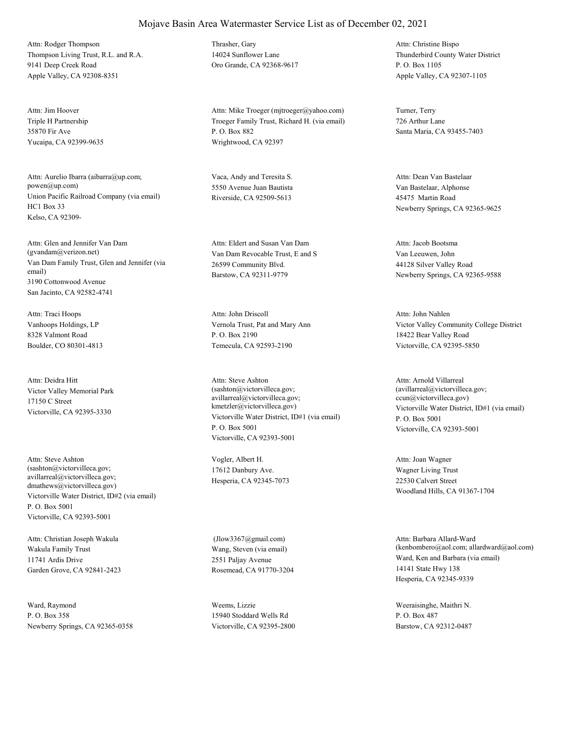Thompson Living Trust, R.L. and R.A. 9141 Deep Creek Road Apple Valley, CA 92308-8351 Attn: Rodger Thompson Thrasher, Gary

Triple H Partnership 35870 Fir Ave Yucaipa, CA 92399-9635 Attn: Jim Hoover

Union Pacific Railroad Company (via email) HC1 Box 33 Kelso, CA 92309- Attn: Aurelio Ibarra (aibarra@up.com; powen@up.com)

Van Dam Family Trust, Glen and Jennifer (via email) 3190 Cottonwood Avenue San Jacinto, CA 92582-4741 Attn: Glen and Jennifer Van Dam (gvandam@verizon.net) Van Dam Revocable Trust, E and S

Vanhoops Holdings, LP 8328 Valmont Road Boulder, CO 80301-4813 Attn: Traci Hoops

Victor Valley Memorial Park 17150 C Street Victorville, CA 92395-3330 Attn: Deidra Hitt

Victorville Water District, ID#2 (via email) P. O. Box 5001 Victorville, CA 92393-5001 Attn: Steve Ashton (sashton@victorvilleca.gov; avillarreal@victorvilleca.gov; dmathews@victorvilleca.gov)

Wakula Family Trust 11741 Ardis Drive Garden Grove, CA 92841-2423 Attn: Christian Joseph Wakula

Ward, Raymond P. O. Box 358 Newberry Springs, CA 92365-0358 14024 Sunflower Lane Oro Grande, CA 92368-9617

Troeger Family Trust, Richard H. (via email) P. O. Box 882 Wrightwood, CA 92397 Attn: Mike Troeger (mjtroeger@yahoo.com) Turner, Terry

Vaca, Andy and Teresita S. 5550 Avenue Juan Bautista Riverside, CA 92509-5613

26599 Community Blvd. Barstow, CA 92311-9779 Attn: Eldert and Susan Van Dam

Vernola Trust, Pat and Mary Ann P. O. Box 2190 Temecula, CA 92593-2190 Attn: John Driscoll

Victorville Water District, ID#1 (via email) P. O. Box 5001 Victorville, CA 92393-5001 Attn: Steve Ashton (sashton@victorvilleca.gov; avillarreal@victorvilleca.gov; kmetzler@victorvilleca.gov) Victorville Water District, ID#1 (via email)

Vogler, Albert H. 17612 Danbury Ave. Hesperia, CA 92345-7073

Wang, Steven (via email) 2551 Paljay Avenue Rosemead, CA 91770-3204 (Jlow3367@gmail.com)

Weems, Lizzie 15940 Stoddard Wells Rd Victorville, CA 92395-2800

Thunderbird County Water District P. O. Box 1105 Apple Valley, CA 92307-1105 Attn: Christine Bispo

726 Arthur Lane Santa Maria, CA 93455-7403

Van Bastelaar, Alphonse 45475 Martin Road Newberry Springs, CA 92365-9625 Attn: Dean Van Bastelaar

Van Leeuwen, John 44128 Silver Valley Road Newberry Springs, CA 92365-9588 Attn: Jacob Bootsma

Victor Valley Community College District 18422 Bear Valley Road Victorville, CA 92395-5850 Attn: John Nahlen

P. O. Box 5001 Victorville, CA 92393-5001 Attn: Arnold Villarreal (avillarreal@victorvilleca.gov; ccun@victorvilleca.gov)

Wagner Living Trust 22530 Calvert Street Woodland Hills, CA 91367-1704 Attn: Joan Wagner

Ward, Ken and Barbara (via email) 14141 State Hwy 138 Hesperia, CA 92345-9339 Attn: Barbara Allard-Ward (kenbombero@aol.com; allardward@aol.com)

Weeraisinghe, Maithri N. P. O. Box 487 Barstow, CA 92312-0487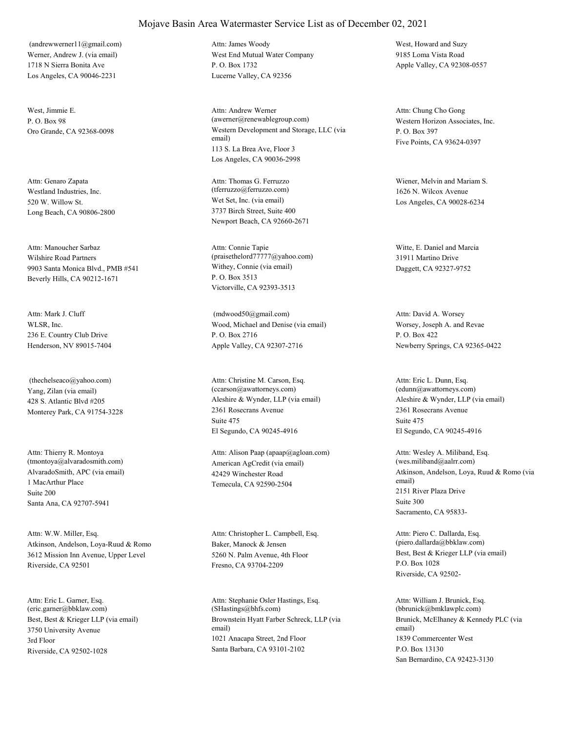Werner, Andrew J. (via email) 1718 N Sierra Bonita Ave Los Angeles, CA 90046-2231 (andrewwerner11@gmail.com)

West, Jimmie E.  $P \cap \text{Box } 98$ 

Westland Industries, Inc. 520 W. Willow St. Long Beach, CA 90806-2800 Attn: Genaro Zapata

Wilshire Road Partners 9903 Santa Monica Blvd., PMB #541 Beverly Hills, CA 90212-1671 Attn: Manoucher Sarbaz

WLSR, Inc. 236 E. Country Club Drive Henderson, NV 89015-7404 Attn: Mark J. Cluff

Yang, Zilan (via email) 428 S. Atlantic Blvd #205 Monterey Park, CA 91754-3228 (thechelseaco@yahoo.com)

AlvaradoSmith, APC (via email) 1 MacArthur Place Santa Ana, CA 92707-5941 Attn: Thierry R. Montoya (tmontoya@alvaradosmith.com) Suite 200

Atkinson, Andelson, Loya-Ruud & Romo 3612 Mission Inn Avenue, Upper Level Riverside, CA 92501 Attn: W.W. Miller, Esq.

Best, Best & Krieger LLP (via email) 3750 University Avenue Riverside, CA 92502-1028 Attn: Eric L. Garner, Esq. (eric.garner@bbklaw.com) 3rd Floor

West End Mutual Water Company P. O. Box 1732 Lucerne Valley, CA 92356 Attn: James Woody West, Howard and Suzy

Oro Grande, CA 92368-0098 Western Development and Storage, LLC (via email) 113 S. La Brea Ave, Floor 3 Los Angeles, CA 90036-2998 Attn: Andrew Werner (awerner@renewablegroup.com) Western Horizon Associates, Inc.

> Wet Set, Inc. (via email) 3737 Birch Street, Suite 400 Newport Beach, CA 92660-2671 Attn: Thomas G. Ferruzzo (tferruzzo@ferruzzo.com)

Withey, Connie (via email) P. O. Box 3513 Victorville, CA 92393-3513 Attn: Connie Tapie (praisethelord77777@yahoo.com)

Wood, Michael and Denise (via email) P. O. Box 2716 Apple Valley, CA 92307-2716 (mdwood50@gmail.com)

Aleshire & Wynder, LLP (via email) 2361 Rosecrans Avenue El Segundo, CA 90245-4916 Attn: Christine M. Carson, Esq. (ccarson@awattorneys.com) Suite 475

American AgCredit (via email) 42429 Winchester Road Temecula, CA 92590-2504 Attn: Alison Paap (apaap@agloan.com)

Baker, Manock & Jensen 5260 N. Palm Avenue, 4th Floor Fresno, CA 93704-2209 Attn: Christopher L. Campbell, Esq.

Brownstein Hyatt Farber Schreck, LLP (via email) 1021 Anacapa Street, 2nd Floor Santa Barbara, CA 93101-2102 Attn: Stephanie Osler Hastings, Esq. (SHastings@bhfs.com)

9185 Loma Vista Road Apple Valley, CA 92308-0557

P. O. Box 397 Five Points, CA 93624-0397 Attn: Chung Cho Gong

Wiener, Melvin and Mariam S. 1626 N. Wilcox Avenue Los Angeles, CA 90028-6234

Witte, E. Daniel and Marcia 31911 Martino Drive Daggett, CA 92327-9752

Worsey, Joseph A. and Revae P. O. Box 422 Newberry Springs, CA 92365-0422 Attn: David A. Worsey

Aleshire & Wynder, LLP (via email) 2361 Rosecrans Avenue El Segundo, CA 90245-4916 Attn: Eric L. Dunn, Esq. (edunn@awattorneys.com) Suite 475

Atkinson, Andelson, Loya, Ruud & Romo (via email) 2151 River Plaza Drive Sacramento, CA 95833- Attn: Wesley A. Miliband, Esq. (wes.miliband@aalrr.com) Suite 300

Best, Best & Krieger LLP (via email) P.O. Box 1028 Riverside, CA 92502- Attn: Piero C. Dallarda, Esq. (piero.dallarda@bbklaw.com)

Brunick, McElhaney & Kennedy PLC (via email) 1839 Commercenter West San Bernardino, CA 92423-3130 Attn: William J. Brunick, Esq. (bbrunick@bmklawplc.com) P.O. Box 13130

## Mojave Basin Area Watermaster Service List as of December 02, 2021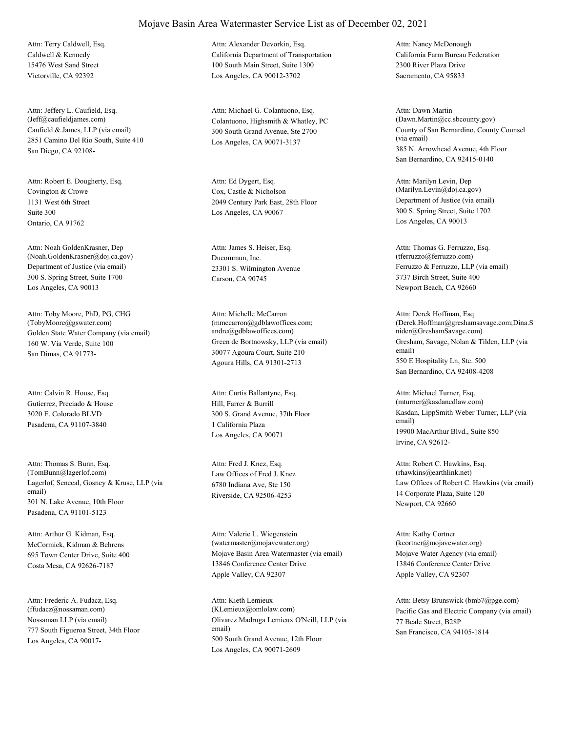Caldwell & Kennedy 15476 West Sand Street Victorville, CA 92392 Attn: Terry Caldwell, Esq.

Caufield & James, LLP (via email) 2851 Camino Del Rio South, Suite 410 San Diego, CA 92108- Attn: Jeffery L. Caufield, Esq.

Covington & Crowe 1131 West 6th Street Ontario, CA 91762 Attn: Robert E. Dougherty, Esq. Suite 300

Department of Justice (via email) 300 S. Spring Street, Suite 1700 Los Angeles, CA 90013 Attn: Noah GoldenKrasner, Dep (Noah.GoldenKrasner@doj.ca.gov) Ducommun, Inc.

Golden State Water Company (via email) 160 W. Via Verde, Suite 100 San Dimas, CA 91773- Attn: Toby Moore, PhD, PG, CHG (TobyMoore@gswater.com)

Gutierrez, Preciado & House 3020 E. Colorado BLVD Pasadena, CA 91107-3840 Attn: Calvin R. House, Esq.

Lagerlof, Senecal, Gosney & Kruse, LLP (via email) 301 N. Lake Avenue, 10th Floor Pasadena, CA 91101-5123 Attn: Thomas S. Bunn, Esq. (TomBunn@lagerlof.com) Law Offices of Fred J. Knez

McCormick, Kidman & Behrens 695 Town Center Drive, Suite 400 Costa Mesa, CA 92626-7187 Attn: Arthur G. Kidman, Esq.

Nossaman LLP (via email) 777 South Figueroa Street, 34th Floor Los Angeles, CA 90017- Attn: Frederic A. Fudacz, Esq. (ffudacz@nossaman.com)

California Department of Transportation 100 South Main Street, Suite 1300 Los Angeles, CA 90012-3702 Attn: Alexander Devorkin, Esq.

(Jeff@caufieldjames.com) Colantuono, Highsmith & Whatley, PC 300 South Grand Avenue, Ste 2700 Los Angeles, CA 90071-3137 Attn: Michael G. Colantuono, Esq.

> Cox, Castle & Nicholson 2049 Century Park East, 28th Floor Los Angeles, CA 90067 Attn: Ed Dygert, Esq.

23301 S. Wilmington Avenue Carson, CA 90745 Attn: James S. Heiser, Esq.

Green de Bortnowsky, LLP (via email) 30077 Agoura Court, Suite 210 Agoura Hills, CA 91301-2713 Attn: Michelle McCarron (mmccarron@gdblawoffices.com; andre@gdblawoffices.com)

Hill, Farrer & Burrill 300 S. Grand Avenue, 37th Floor Los Angeles, CA 90071 Attn: Curtis Ballantyne, Esq. 1 California Plaza

6780 Indiana Ave, Ste 150 Riverside, CA 92506-4253 Attn: Fred J. Knez, Esq.

Mojave Basin Area Watermaster (via email) 13846 Conference Center Drive Apple Valley, CA 92307 Attn: Valerie L. Wiegenstein (watermaster@mojavewater.org)

Olivarez Madruga Lemieux O'Neill, LLP (via email) 500 South Grand Avenue, 12th Floor Los Angeles, CA 90071-2609 Attn: Kieth Lemieux

California Farm Bureau Federation 2300 River Plaza Drive Sacramento, CA 95833 Attn: Nancy McDonough

County of San Bernardino, County Counsel (via email) 385 N. Arrowhead Avenue, 4th Floor San Bernardino, CA 92415-0140 Attn: Dawn Martin (Dawn.Martin@cc.sbcounty.gov)

Department of Justice (via email) 300 S. Spring Street, Suite 1702 Los Angeles, CA 90013 Attn: Marilyn Levin, Dep (Marilyn.Levin@doj.ca.gov)

Ferruzzo & Ferruzzo, LLP (via email) 3737 Birch Street, Suite 400 Newport Beach, CA 92660 Attn: Thomas G. Ferruzzo, Esq. (tferruzzo@ferruzzo.com)

Gresham, Savage, Nolan & Tilden, LLP (via email) 550 E Hospitality Ln, Ste. 500 San Bernardino, CA 92408-4208 Attn: Derek Hoffman, Esq. (Derek.Hoffman@greshamsavage.com;Dina.S nider@GreshamSavage.com)

Kasdan, LippSmith Weber Turner, LLP (via email) 19900 MacArthur Blvd., Suite 850 Irvine, CA 92612- Attn: Michael Turner, Esq. (mturner@kasdancdlaw.com)

Law Offices of Robert C. Hawkins (via email) 14 Corporate Plaza, Suite 120 Newport, CA 92660 Attn: Robert C. Hawkins, Esq. (rhawkins@earthlink.net)

Mojave Water Agency (via email) 13846 Conference Center Drive Apple Valley, CA 92307 Attn: Kathy Cortner (kcortner@mojavewater.org)

(KLemieux@omlolaw.com) Pacific Gas and Electric Company (via email) 77 Beale Street, B28P San Francisco, CA 94105-1814 Attn: Betsy Brunswick (bmb7@pge.com)